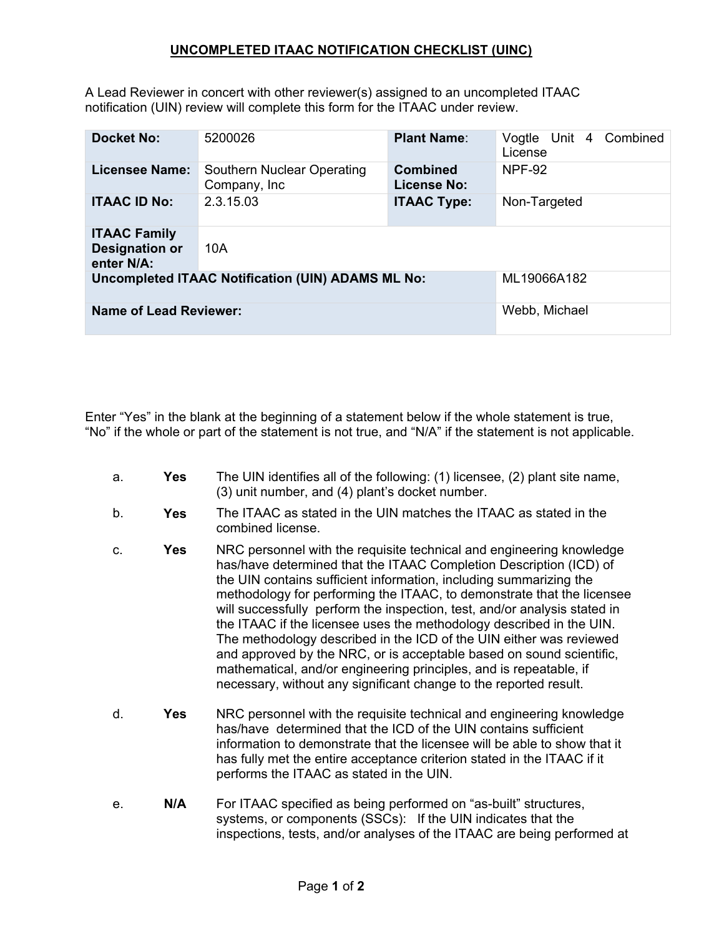## **UNCOMPLETED ITAAC NOTIFICATION CHECKLIST (UINC)**

A Lead Reviewer in concert with other reviewer(s) assigned to an uncompleted ITAAC notification (UIN) review will complete this form for the ITAAC under review.

| <b>Docket No:</b>                                          | 5200026                                     | <b>Plant Name:</b>                    | Combined<br>Vogtle Unit 4<br>License |
|------------------------------------------------------------|---------------------------------------------|---------------------------------------|--------------------------------------|
| <b>Licensee Name:</b>                                      | Southern Nuclear Operating<br>Company, Inc. | <b>Combined</b><br><b>License No:</b> | <b>NPF-92</b>                        |
| <b>ITAAC ID No:</b>                                        | 2.3.15.03                                   | <b>ITAAC Type:</b>                    | Non-Targeted                         |
| <b>ITAAC Family</b><br><b>Designation or</b><br>enter N/A: | 10A                                         |                                       |                                      |
| <b>Uncompleted ITAAC Notification (UIN) ADAMS ML No:</b>   |                                             |                                       | ML19066A182                          |
| <b>Name of Lead Reviewer:</b>                              |                                             |                                       | Webb, Michael                        |

Enter "Yes" in the blank at the beginning of a statement below if the whole statement is true, "No" if the whole or part of the statement is not true, and "N/A" if the statement is not applicable.

- a. **Yes** The UIN identifies all of the following: (1) licensee, (2) plant site name, (3) unit number, and (4) plant's docket number.
- b. **Yes** The ITAAC as stated in the UIN matches the ITAAC as stated in the combined license.
- c. **Yes** NRC personnel with the requisite technical and engineering knowledge has/have determined that the ITAAC Completion Description (ICD) of the UIN contains sufficient information, including summarizing the methodology for performing the ITAAC, to demonstrate that the licensee will successfully perform the inspection, test, and/or analysis stated in the ITAAC if the licensee uses the methodology described in the UIN. The methodology described in the ICD of the UIN either was reviewed and approved by the NRC, or is acceptable based on sound scientific, mathematical, and/or engineering principles, and is repeatable, if necessary, without any significant change to the reported result.
- d. **Yes** NRC personnel with the requisite technical and engineering knowledge has/have determined that the ICD of the UIN contains sufficient information to demonstrate that the licensee will be able to show that it has fully met the entire acceptance criterion stated in the ITAAC if it performs the ITAAC as stated in the UIN.
- e. **N/A** For ITAAC specified as being performed on "as-built" structures, systems, or components (SSCs): If the UIN indicates that the inspections, tests, and/or analyses of the ITAAC are being performed at